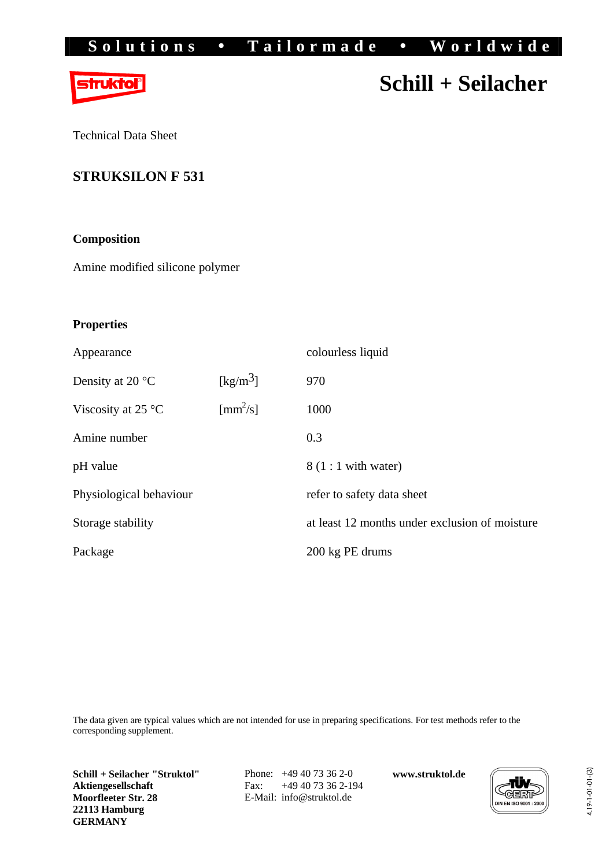## Solutions • Tailormade • Worldwide



# **Schill + Seilacher**

Technical Data Sheet

### **STRUKSILON F 531**

#### **Composition**

Amine modified silicone polymer

#### **Properties**

| Appearance                           |                          | colourless liquid                              |
|--------------------------------------|--------------------------|------------------------------------------------|
| Density at 20 $\degree$ C            | [kg/m <sup>3</sup> ]     | 970                                            |
| Viscosity at 25 $\mathrm{^{\circ}C}$ | $\text{[mm}^2/\text{s}]$ | 1000                                           |
| Amine number                         |                          | 0.3                                            |
| pH value                             |                          | $8(1:1$ with water)                            |
| Physiological behaviour              |                          | refer to safety data sheet                     |
| Storage stability                    |                          | at least 12 months under exclusion of moisture |
| Package                              |                          | 200 kg PE drums                                |

The data given are typical values which are not intended for use in preparing specifications. For test methods refer to the corresponding supplement.

**Schill + Seilacher "Struktol" Aktiengesellschaft Moorfleeter Str. 28 22113 Hamburg GERMANY**

Phone: +49 40 73 36 2-0 Fax: +49 40 73 36 2-194 E-Mail: [info@struktol.de](mailto:info@struktol.de)

**[www.struktol.de](http://www.struktol.de)**